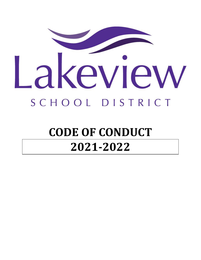

# **CODE OF CONDUCT 2021-2022**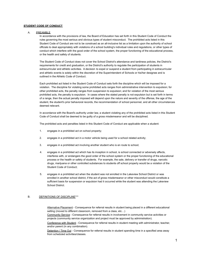#### **STUDENT CODE OF CONDUCT**

#### A. PREAMBLE

In accordance with the provisions of law, the Board of Education has set forth in this Student Code of Conduct the rules governing the most serious and obvious types of student misconduct. The prohibited acts listed in this Student Code of Conduct are not to be construed as an all-inclusive list as a limitation upon the authority of school officials to deal appropriately with violations of a school building's individual rules and regulations, or other types of conduct which interfere with the good order of the school system, the proper functioning of the educational process, or the health and safety of students.

The Student Code of Conduct does not cover the School District's attendance and tardiness policies, the District's requirements for credit and graduation, or the District's authority to regulate the participation of students in extracurricular and athletic activities. A decision to expel or suspend a student from participating in extracurricular and athletic events is solely within the discretion of the Superintendent of Schools or his/her designee and is outlined in the Athletic Code of Conduct.

Each prohibited act listed in the Student Code of Conduct sets forth the discipline which will be imposed for a violation. The discipline for violating some prohibited acts ranges from administrative intervention to expulsion; for other prohibited acts, the penalty ranges from suspension to expulsion; and for violation of the most serious prohibited acts, the penalty is expulsion. In cases where the stated penalty is not expulsion but is set forth in terms of a range, then the actual penalty imposed will depend upon the nature and severity of the offense, the age of the student, the student's prior behavioral records, the recommendation of school personnel, and all other circumstances deemed relevant.

In accordance with the Board's authority under law, a student violating any of the prohibited acts listed in this Student Code of Conduct shall be deemed to be guilty of a gross misdemeanor and will be disciplined.

The prohibited acts and penalties listed in this Student Code of Conduct are applicable when a student:

- 1. engages in a prohibited act on school property;
- 2. engages in a prohibited act in a motor vehicle being used for a school related activity;
- 3. engages in a prohibited act involving another student who is en route to school;
- 4. engages in a prohibited act which has its inception in school, is school connected or adversely affects, interferes with, or endangers the good order of the school system or the proper functioning of the educational process or the health or safety of students. For example, the sale, delivery or transfer of drugs, narcotic drugs, marijuana or other controlled substances to students off school property would be a violation of the Student Code of Conduct;
- 5. engages in a prohibited act when the student was not enrolled in the Lakeview School District or was enrolled in another school district, if the act of gross misdemeanor or other misconduct would constitute a sufficient basis for suspension or expulsion had it occurred while the student was attending the Lakeview School District.

#### B. DEFINITIONS OF DISCIPLINE\*\*\*

Alternative Placement - Consequence for referral results in student being placed in a different educational setting (moved to different classroom, removed from a class, etc…)

Community Service - Consequence for referral results in involvement in community service activities or projects (community service organization and project must be approved by administration).

Conference with Student - Consequence for referral results in student meeting with administrator, teacher, and/or parent (in any combination).

Detention / Time Out - Consequence for referral results in student spending time in a specified area away from scheduled activities/classes.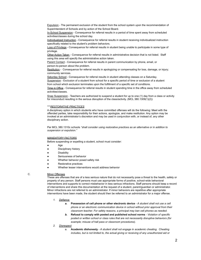Expulsion - The permanent exclusion of the student from the school system upon the recommendation of Superintendent of Schools and by action of the School Board.

In-School Suspension - Consequence for referral results in a period of time spent away from scheduled activities/classes during the school day.

Individualized Instruction - Consequence for referral results in student receiving individualized instruction specifically related to the student's problem behaviors.

Loss of Privilege - Consequence for referral results in student being unable to participate in some type of privilege.

Other Action Taken - Consequence for referral results in administrative decision that is not listed. Staff using this area will specify the administrative action taken.

Parent Contact - Consequence for referral results in parent communication by phone, email, or person-to-person about the problem.

Restitution - Consequence for referral results in apologizing or compensating for loss, damage, or injury; community services.

Saturday School - Consequence for referral results in student attending classes on a Saturday. Suspension - Exclusion of a student from school for a specific period of time or exclusion of a student from school which exclusion terminates upon the fulfillment of a specific set of conditions.

Time in Office - Consequence for referral results in student spending time in the office away from scheduled activities/classes.

Snap Suspension - Teachers are authorized to suspend a student for up to one (1) day from a class or activity for misconduct resulting in the serious disruption of the class/activity. (MCL 380.1309 $(1)(2)$ )

#### \*\*\**RESTORATIVE PRACTICES*

A disciplinary option in which students who have committed offenses will do the following: Meet with the offended parties, take responsibility for their actions, apologize, and make restitution. Any option may be invoked at an administrator's discretion and may be used in conjunction with, or instead of, any other disciplinary action.

Per MCL 380.1310c schools *"shall consider using restorative practices as an alternative or in addition to suspension or expulsion."*

#### *MANDATORY FACTORS*

Before suspending or expelling a student, school must consider:

- Age
- Disciplinary history
- Disability
- Seriousness of behavior
- Whether behavior posed safety risk
- **Restorative practices**
- Whether lesser interventions would address behavior

#### C. Minor Offenses

These are offenses that are of a less serious nature that do not necessarily pose a threat to the health, safety or property of any person. Staff persons must use appropriate forms of positive, school-wide behavioral interventions and supports to correct misbehavior in less serious infractions. Staff persons should keep a record of interventions and share this documentation at the request of a student, parent/guardian or administrator. Minor infractions are not referred to an administrator. If minor behaviors are repetitive after appropriate interventions have been made, the student should then be referred to an administrator for a major offense.

- *1. Defiance*
	- *a.* **Possession of cell phone or other electronic device** *A student shall not use a cell phone or an electronic communication device in school without prior approval from their classroom teacher. For safety reasons, a principal may ban cell phones as needed.*
	- *b.* **Refusal to comply with posted and published school norms** *Violation of specific posted or written school or class rules that are not necessarily disruptive behaviors (for example; misuse of hall pass or classroom procedures).*
- *2. Disrespect*
	- a. **Academic dishonesty** *A student shall not engage in academic cheating. Cheating includes, but is not limited to, the actual giving or receiving of any unauthorized aid or*

2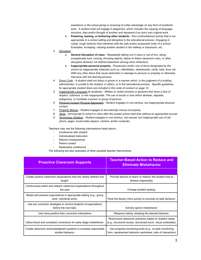*assistance or the actual giving or receiving of unfair advantage on any form of academic work. A student shall not engage in plagiarism, which includes the copying of language, structure, idea and/or thought of another and represent it as one's own original work.*

*b.* **Pestering, teasing, or bothering other students** - *Non-confrontational activity that is not appropriate in a school setting and disruptive to the educational process. Engaging in rowdy, rough behavior that interferes with the safe and/or purposeful order of a school. Examples: horseplay; chasing another student in the hallway or classroom, etc.*

#### *3. Disruption*

- *a.* **General disruption of class** *Repeatedly talking out in class or out of turn, being exceptionally loud, running, throwing objects, failure to follow classroom rules, or other disruptive behavior not defined elsewhere among minor Infractions*
- *b.* **Inappropriate personal property** *Possession and/or use of items designated by the school as inappropriate materials such as, rollerblades, skateboards, cards, hats, food, etc. AND any other items that cause distraction or damage to persons or property or otherwise intervene with the learning process.*
- 4. Dress Code A student shall not dress or groom in a manner which, in the judgment of a building *administrator, is unsafe to the student, or others, or to the educational process. Specific guidelines for appropriate student dress are included in this code of conduct on page 12.*
- *5. Inappropriate Language* (to students) *Written or verbal remarks or gestures that show a lack of respect, rudeness, or are inappropriate. The use of words or acts which demean, degrade, antagonize, or humiliate a person or group of persons.*
- *6. Physical Contact/ Physical Aggression - Student engages in non-serious, but inappropriate physical contact.*
- *7. Property Misuse - Student engages in low-intensity misuse of property.*
- 8. Tardy Arriving late to school or class after the posted school start time without an appropriate excuse
- *9. Technology Violation - Student engages in non-serious, non-sexual, but inappropriate use of cell phone, pager, music/video players, camera, and/or computer.*

Teachers may use the following interventions listed above…

- Conference with student
- Individualized instruction
- Natural consequences
- Parent contact
- Restorative conference

The following are also examples of other possible teacher interventions.

| <b>Proactive Classroom Supports</b>                                                            | <b>Teacher-Based Action to Reduce and</b><br><b>Eliminate Misbehavior</b>                                                |
|------------------------------------------------------------------------------------------------|--------------------------------------------------------------------------------------------------------------------------|
|                                                                                                |                                                                                                                          |
| Create positive classroom expectations that are clearly defined and<br>taught.                 | Provide lessons to teach or reteach the student how to<br>behave responsibly.                                            |
| Continuously teach and reteach classroom expectations throughout<br>the year                   | Change student seating.                                                                                                  |
| Model and practice expectations in appropriate setting (e.g., group<br>work, individual work). | Pace the lesson more quickly to promote on-task behavior.                                                                |
| Use pre correction strategies to remind students of expectations<br>before the next task       | Actively ignore misbehavior.                                                                                             |
| Use more positive than corrective interactions                                                 | Respond calmly, restating the desired behavior.                                                                          |
| Utilize fluent and consistent corrections for early-stage misbehavior.                         | Restructure classroom practices based on student needs<br>(e.g., structured recess, structured lunch, visual schedules). |
| Create classroom acknowledgment systems to increase responsible<br>student behavior.           | Use progress-monitoring tools (e.g., on-task monitoring<br>form, replacement behavior worksheet, ratio of interactions   |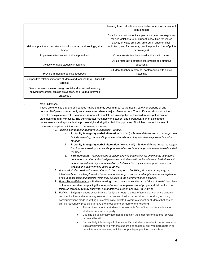|                                                                                                                                               | tracking form, reflection sheets, behavior contracts, student<br>point sheets).                                                                                                                                                                                           |
|-----------------------------------------------------------------------------------------------------------------------------------------------|---------------------------------------------------------------------------------------------------------------------------------------------------------------------------------------------------------------------------------------------------------------------------|
| Maintain positive expectations for all students, in all settings, at all<br>times.                                                            | Establish and consistently implement corrective responses<br>for rule violations (e.g., student loses, time for valued<br>activity, in-class time-out, time-out in another class,<br>restitution given for property, positive practice, loss of points<br>or privileges). |
| Implement effective instructional practices.                                                                                                  | Communicate teacher-based actions with parent.                                                                                                                                                                                                                            |
| Actively engage students in learning.                                                                                                         | Utilize restorative affective statements and affective<br>questions.                                                                                                                                                                                                      |
| Provide immediate positive feedback.                                                                                                          | Student-teacher impromptu conferencing with active<br>listening.                                                                                                                                                                                                          |
| Build positive relationships with students and families (e.g., utilize RP<br>circles).                                                        |                                                                                                                                                                                                                                                                           |
| Teach prevention lessons (e.g., social and emotional learning,<br>bullying prevention, suicide prevention, and trauma-informed<br>practices). |                                                                                                                                                                                                                                                                           |

# D. **Major Offenses**

These are offenses that are of a serious nature that may pose a threat to the health, safety or property of any person. Staff persons must notify an administrator when a major offense occurs. The notification should take the form of a discipline referral. The administrator must complete an investigation of the incident and gather written statements from all witnesses. The administrator must notify the student and parent/guardian of all charges, consequences and applicable due process rights during the disciplinary process. Discipline may include any of the above discipline definitions up to permanent expulsion.

*10. Abusive Language/ Inappropriate Language/ Profanity*

- *a.* **Profanity & vulgarity/verbal altercation** (student) *Student delivers verbal messages that include swearing, name calling, or use of words in an inappropriate way towards another student.*
- *b.* **Profanity & vulgarity/verbal altercation** (toward staff) *Student delivers verbal messages that include swearing, name calling, or use of words in an inappropriate way towards a staff member.*
- *c.* **Verbal Assault** *Verbal Assault at school directed against school employees, volunteers, contractors or other authorized personnel or students will not be tolerated. Verbal assault is to be considered any communication or behavior that, by its nature, poses a serious threat to the safety or well being of others.*
- 11. Arson A student shall not burn or attempt to burn any school building, structure or property, or intentionally set or attempt to set a fire on school property, or cause or attempt to cause an explosion, *or be in possession of materials which may be used in the aforementioned activities.*
- *12. Bomb Threat/False Alarm -* Students making bomb threats, false alarms, or "similar threats" that place or that are perceived as placing the safety of one or more persons or of property at risk, will not be tolerated (grade 6-12 may qualify for a mandatory expulsion per MCL 380.1311a)
- *13. Bullying Bullying* includes cyber-bullying (bullying through the use of technology or any electronic communication) and means any severe or pervasive physical or verbal act or conduct, including communications made in writing or electronically, directed toward a student or students that has or can be reasonably predicted to have the effect of one or more of the following:
	- Placing the student or students in reasonable fear of harm to the student's or students' person or property;
	- Causing a substantially detrimental effect on the student's or students' physical or mental health;
	- Substantially interfering with the student's or students' academic performance; or Substantially interfering with the student's or students' ability to participate in or benefit from the services, activities, or privileges provided by a school.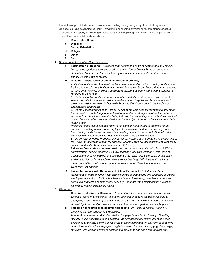Examples of prohibited conduct include name-calling, using derogatory slurs, stalking, sexual violence, causing psychological harm, threatening or causing physical harm, threatened or actual destruction of property, or wearing or possessing items depicting or implying hatred or prejudice of one of the characteristics stated above.

- *a.* **Race, Color, Origin**
- **b. Disability**
- **c. Sexual Orientation**
- **d. Religion**
- **e. Other**
- **f. Sex**
- *14. Defiance/Insubordination/Non-Compliance*
	- *a.* **Falsification of Records** *A student shall not use the name of another person or falsify times, dates, grades, addresses or other data on School District forms or records. A student shall not provide false, misleading or inaccurate statements or information on School District forms or records.*
	- *b.* **Unauthorized presence of students on school property** *-*

*A. On School Grounds: A student shall not be on any portion of the school grounds where his/her presence is unauthorized, nor remain after having been either ordered or requested to leave by any school employee possessing apparent authority over student conduct. A student should not be:*

*1. On the school grounds where the student is regularly enrolled during any period of suspension which includes exclusion from the school of regular enrollment where such order of exclusion has been in fact made known to the student prior to the incident of unauthorized appearance.*

*2. On the school grounds of any school or site of required school programming other than that student's school of regular enrollment or attendance, at any time other than when a school activity, function, or event is being held and the student's presence is either required or permitted, based on predetermination by the principal of the school at which the activity is being held.*

*Presence on the school grounds while in the company of a parent or guardian for the purpose of meeting with a school employee to discuss the student's status, or presence on the school grounds for the purpose of proceeding directly to the school office with prior permission of the principal shall not be considered a violation of this rule.*

*B. On Private or Public Property: During school hours students must be in school unless they have an approved reason for absence. Students who are habitually truant from school as described in this Code may be charged with truancy.*

- *c.* **Failure to Cooperate** *A student shall not refuse to cooperate with School District administrators and/or teaching staff investigating a possible violation of this Code of Conduct and/or building rules, and no student shall make false statements or give false evidence to School District administrators and/or teaching staff. A student shall not refuse to testify or otherwise cooperate with School District personnel in any disciplinary proceeding.*
- *d.* **Failure to Comply With Directions of School Personnel -** *A student shall not be insubordinate or fail to comply with district policies or instructions and directions of District employees (including substitute teachers and student teachers), volunteers or persons acting in a chaperone or supervisory capacity. Students who persistently violate school policy may receive disciplinary action.*
- *15. Disrespect*
	- **a. Coercion, Extortion, or Blackmail** *A student shall not commit or attempt to commit extortion, coercion or blackmail. A student shall not engage in the act of securing or attempting to secure money or other items of value from an unwilling person, nor shall a student, by threats and/or violence, force another person to perform an unwilling act.*
	- **b. Threats or conspiracies to commit violent acts** *Any acts, in writing, verbally, or otherwise that are considered threatening.*
	- c. **Academic dishonesty** *A student shall not engage in academic cheating. Cheating includes, but is not limited to, the actual giving or receiving of any unauthorized aid or assistance or the actual giving or receiving of unfair advantage on any form of academic work. A student shall not engage in plagiarism, which includes the copying of language, structure, idea and/or thought of another and represent it as one's own original work.*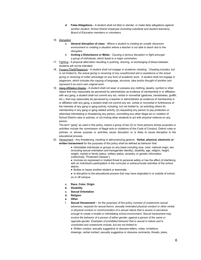- *d.* **False Allegations -** *A student shall not libel or slander, or make false allegations against another student, School District employee (including substitute and student teachers), Board of Education members or volunteers.*
- *16. Disruption*
	- *a.* **General disruption of class** *Where a student is creating an unsafe classroom environment or creating a situation where a teacher is not able to teach due to the disruption.*
	- *b.* **Inciting a Disturbance or Melee** *- Causing a serious disruption or fight amongst a group of individuals, which leads to a major commotion.*
- *17. Fighting -* A physical altercation resulting in pushing, shoving, or exchanging of blows between students will not be tolerated.
- *18. Forgery/Theft/Plagiarism - A student shall not engage in academic cheating. Cheating includes, but* is not limited to, the actual giving or receiving of any unauthorized aid or assistance or the actual giving or receiving of unfair advantage on any form of academic work. A student shall not engage in *plagiarism, which includes the copying of language, structure, idea and/or thought of another and represent it as one's own original work.*
- *19. Gang Affiliation Display* A student shall not wear or possess any clothing, jewelry, symbol or other object that may reasonably be perceived by administrator as evidence of membership in or affiliation with any gang; a student shall not commit any act, verbal or nonverbal (gestures, handshakes, graffiti, etc.), that may reasonably be perceived by a teacher or administrator as evidence of membership in or affiliation with any gang; a student shall not commit any act, verbal or nonverbal in furtherance of the interests of any gang or gang activity, including, but not limited to, (a) soliciting others for membership in any gang or gang related activity, (b) requesting any person to pay protection or otherwise intimidating or threatening any person, committing any other illegal act or violation of School District rules or policies, or (d) inciting other students to act with physical violence on any person.

The term "gang" as used in this policy, means a group of two (2) or more persons whose purposes or activities include the commission of illegal acts or violations of this Code of Conduct, District rules or policies, or whose purpose or activities cause disruption or is likely to cause disruption to the educational process.

*20. Harassment -* Any threatening, insulting or dehumanizing gesture. **Verbal, physical, electronic or written harassment** for the purposes of this policy shall be defined as behavior that:

> • Intimidates individuals or groups on any basis including race, color, national origin, sex (including sexual orientation and transgender identity), disability, age, religion, height, weight, marital or family status, military status, ancestry, or genetic information (collectively, "Protected Classes").

● Involves an expressed or implied threat to personal safety or has the effect of interfering with an individual's participation in the curricular or extracurricular activities of the school district.

● Bullies or hazes another student or teammate.

• Is disruptive to the educational process that may have originated in or outside of school, on or off campus.

- a. **Race, Color, Origin**
- **b. Disability**
- **c. Sexual Orientation**
- **d. Religion**
- **e. Other**
- f. **Sexual Harassment -** *for the purposes of this policy consists of unwelcome sexual advances, requests for sexual favors, sexually motivated physical conduct or other verbal or physical conduct or communication of a sexual nature that is severe or pervasive enough to create a hostile or intimidating school environment. Sexual harassment may involve the behavior of a person of either gender, against a person of the same or opposite gender. Examples of prohibited behavior that is sexual in nature and is unsolicited and unwelcome include, but are not limited to:*

● Written contact: sexually suggestive or obscene letters, notes, invitations, drawings, verbal contact; sexually suggestive or obscene comments, threats, jokes,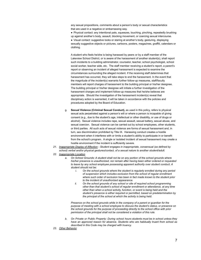any sexual propositions, comments about a person's body or sexual characteristics that are used in a negative or embarrassing way.

● Physical contact: any intentional pats, squeezes, touching, pinching, repeatedly brushing up against another's body, assault, blocking movement, or coercing sexual intercourse.

● Visual contact: suggestive looks or staring at another's body, gesturing, displaying sexually suggestive objects or pictures, cartoons, posters, magazines, graffiti, calendars or clothing.

A student who feels he/she is being harassed by peers or by a staff member of the Lakeview School District, or is aware of the harassment of another student(s), shall report such incidents to a building administrator, counselor, teacher, school psychologist, school social worker, teacher aide, etc. The staff member receiving a student's report, a parent's report or observing an incident of alleged harassment is expected to examine the circumstances surrounding the alleged incident. If the receiving staff determines that harassment has occurred, they will take steps to end the harassment. In the event that the magnitude of the incident(s) warrants further follow-up measures, staff/faculty members will report charges of harassment to the building principal or his/her designee. The building principal or his/her designee will initiate a further investigation of the harassment charges and implement follow-up measures that he/she believes are appropriate. Should the investigation of the harassment incident(s) reveal that disciplinary action is warranted, it will be taken in accordance with the policies and procedures adopted by the Board of Education.

- g. **Sexual Violence (Criminal Sexual Conduct),** as used in this policy, refers to physical sexual acts perpetrated against a person's will or where a person is incapable of giving consent (e.g., due to the student's age, intellectual or other disability, or use of drugs or alcohol). Sexual violence includes rape, sexual assault, sexual battery, sexual abuse, and sexual coercion. Sexual violence can be carried out by school employees, other students, or third parties. All such acts of sexual violence are forms of sexual harassment and, in turn, sex discrimination prohibited by Title IX. Harassing conduct creates a hostile environment when it interferes with or limits a student's ability to participate in or benefit from the school's program. A single or isolated incident of sexual harassment may create a hostile environment if the incident is sufficiently severe.
- *21. Inappropriate Display of Affection - Student engages in inappropriate, consensual (as defined by school) verbal and/or physical gestures/contact, of a sexual nature to another student/adult.*
- *22. Inappropriate Location*
	- *a. On School Grounds: A student shall not be on any portion of the school grounds where his/her presence is unauthorized, nor remain after having been either ordered or requested to leave by any school employee possessing apparent authority over student conduct. A student should not be:*
		- *i. On the school grounds where the student is regularly enrolled during any period of suspension which includes exclusion from the school of regular enrollment where such order of exclusion has been in fact made known to the student prior to the incident of unauthorized appearance.*
		- *ii. On the school grounds of any school or site of required school programming other than that student's school of regular enrollment or attendance, at any time other than when a school activity, function, or event is being held and the student's presence is either required or permitted, based on predetermination by the principal of the school at which the activity is being held.*

*Presence on the school grounds while in the company of a parent or guardian for the purpose of meeting with a school employee to discuss the student's status, or presence on the school grounds for the purpose of proceeding directly to the school office with prior permission of the principal shall not be considered a violation of this rule.*

- *b. On Private or Public Property: During school hours students must be in school unless they have an approved reason for absence. Students who are habitually truant from school as described in this Code may be charged with truancy.*
- *23. Other Behavior*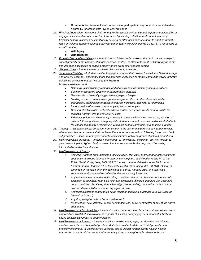- **a. Criminal Acts** A student shall not commit or participate in any conduct or act defined as a crime by federal or state law or local ordinance
- *24. Physical Aggression - A student shall not physically assault another student, a person employed by or engaged as a volunteer or contractor of the school (including substitute and student teachers). Physical Assault is defined as intentionally causing or attempting to cause harm to another through force or violence (grade 6-12 may qualify for a mandatory expulsion per MCL 380.1311a for assault of a staff member)*
	- **a. With Injury**
	- **b. Without Injury**
- *25. Property Damage/Vandalism - A student shall not intentionally cause or attempt to cause damage to* school property or the property of another person, or steal, or attempt to steal, or knowingly be in the *unauthorized possession of school property or the property of another person.*
- *26. Skipping Class - Student leaves or misses class without permission.*
- 27. Technology Violation A student shall not engage in any act that violates the District's Network Usage *and Safety Policy, any individual school computer use guidelines or mobile computing device program guidelines, including, but not limited to the following: Non-school-related work*
	- *● Hate mail, discriminatory remarks, and offensive and inflammatory communications*
	- *● Sexting or accessing obscene or pornographic materials*
	- *● Transmission of sexually suggestive language or images*
	- *● Loading or use of unauthorized games, programs, files, or other electronic media*
	- *● Destruction, modification or abuse of network hardware, software, or information*
	- *● Impersonation of another user, anonymity and pseudonyms*
	- *● Creation of links to other networks whose content or purpose would tend to violate the District's Network Usage and Safety Policy*
	- *● Videotaping fights or videotaping someone in a place where they have an expectation of privacy I. Posting videos of inappropriate student conduct to a social media site that affects the school community or individuals within the school community in a negative manner.*
- 28. Truancy A student shall not be absent from school (a full day, or any part of a day, skipping class) *without permission. A student shall not leave the school campus without following the proper check out procedure. Please refer to your school's administration policy on proper check out procedures.*
- *29. Use/Possession of Alcohol - Alcoholic beverages or intoxicants, including, but not limited to glue, aerosol paint, lighter fluid, or other chemical substance for the purpose of becoming intoxicated or under the influence.*
- *30. Use/Possession of Drugs* 
	- *a. Any drug, narcotic drug, marijuana, hallucinogen, stimulant, depressant or other controlled substance, analogue intended for human consumption, as defined in Article VII of the Public Health Code, being MCL 33.7101, et seq., and as defined in other Michigan or Federal Statute. If Article VII of the Public Health Code, being MCL 33.7101, et seq., is amended or repealed, then the definitions of a drug, narcotic drug, and controlled substance analogue shall be defined under the existing State Law.*
	- *b. Any prescription or nonprescription drug, medicine, vitamin or chemical substance, with exception of an inhaler (e.g. pain relievers, stimulants, diet pills, pep pills, No-Doze pills, cough medicines, laxatives, stomach or digestive remedies), nor shall a student use or possess these substances for an improper purpose.*
	- *c. Any legal substance represented as an illegal or controlled substance (e.g. No-Doze as "speed" or "crack.")*
	- *d. Any drug paraphernalia or items used as such.*
	- *e. Manufacture, sale, delivery, transfer or intent to sell, deliver or transfer of any of the above substances*
- *31. Use/Possession of Combustibles - A student shall not possess, handle or transmit any substance or prepared chemical that can explode, is capable of inflicting bodily injury, or is reasonably likely to cause physical discomfort to another person.*
- *32. Use/Possession of Tobacco - A student shall not smoke, chew, vape, or otherwise use tobacco, nicotine products or a "look alike" product. A student shall not, while on District property or in proximity of campus, in District owned vehicles, and at District-related events have in his/her possession or under his/her control tobacco in any form, or paraphernalia related to its use.*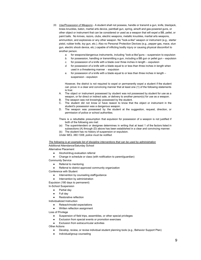- *33. Use/Possession of Weapons -* A student shall not possess, handle or transmit a gun, knife, blackjack, brass knuckles, baton, martial arts device, paintball gun, spring, airsoft and gas-powered guns, or other object or instrument that can be considered or used as a weapon that will expel a BB, pellet, or paint balls. No knives, razors, clubs, electric weapons, metallic knuckles, martial arts weapons, ammunition, and explosives or any other weapon. No "look-a-like" weapon or instrument (e.g., starter pistol, rubber knife, toy gun, etc.). Also no Personal Protection Devices (e.g., pepper gas, mace, stun gun, electric shock device, etc.) capable of inflicting bodily injury or causing physical discomfort to another person.
	- *a.* for weapons/dangerous instruments, including "look-a-like"guns suspension to expulsion
	- *b.* for possession, handling or transmitting a gun, including a BB gun or pellet gun expulsion
	- *c.* for possession of a knife with a blade over three inches in length expulsion
	- *d.* for possession of a knife with a blade equal to or less than three inches in length when used in a threatening manner - expulsion
	- *e.* for possession of a knife with a blade equal to or less than three inches in length suspension - expulsion

However, the district is not required to expel or permanently expel a student if the student can prove in a clear and convincing manner that at least one (1) of the following statements is true:

- A. The object or instrument possessed by student was not possessed by student for use as a weapon, or for direct or indirect sale, or delivery to another person(s) for use as a weapon.
- B. The weapon was not knowingly possessed by the student.
- C. The student did not know or have reason to know that the object or instrument in the student's possession was a dangerous weapon.
- D. The weapon was possessed by the student at the suggestion, request, direction, or permission of police or school authorities.

There is a rebuttable presumption that expulsion for possession of a weapon is not justified if both of the following are met:

- (a) The superintendent or designee determines in writing that at least 1 of the factors listed in subsections (A) through (D) above has been established in a clear and convincing manner.
- (b) The student has no history of suspension or expulsion.

*Under MCL 380.1308, police must be notified.*

*The following is an example list of discipline interventions that can be used by administration* Additional Attendance/Saturday School

Alternative Placement

- Alcohol/drug evaluation referral
- Change in schedule or class (with notification to parent/guardian)

Community Service

- Referral to mentoring
- Referral to district approved community organization

Conference with Student

- Intervention by counseling staff/guidance
- Intervention by administration

Expulsion (180 days to permanent)

In-School Suspension

- Partial day
- **Full day**
- **Restorative reflection**

Individualized Instruction

- Reteach/model expectations
- Written reflection assignment

Loss of Privilege

- Suspension of field trips, assemblies, or other special privileges
- Exclusion from special events or promotion exercises
- **Exclusion from extracurricular activities**

Other Actions

- Develop, review, or revise individual student planning tools (e.g., Behavior Support Plan)
- Individual/group counseling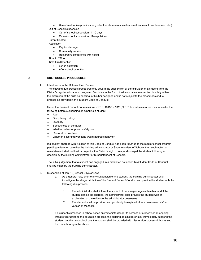- Use of restorative practices (e.g. affective statements, circles, small impromptu conferences, etc.) Out of School Suspension
	- Out-of-school suspension (1-10 days)
	- Out-of-school suspension (11–expulsion)

Parent Contact

**Restitution** 

- Pay for damage
- Community service
	- Restorative conference with victim
- Time in Office

Time Out/Detention

- Lunch detention
- After school detention

# **D. DUE PROCESS PROCEDURES**

## 1. **Introduction to the Rules of Due Process**

The following due process procedures only govern the suspension or the expulsion of a student from the District's regular educational program. Discipline in the form of administrative intervention is solely within the discretion of the building principal or his/her designee and is not subject to the procedures of due process as provided in this Student Code of Conduct.

Under the Revised School Code sections - 1310, 1311(1), 1311(2), 1311a - administrators must consider the following before suspending or expelling a student.

- Age
- Disciplinary history
- **Disability**
- Seriousness of behavior
- Whether behavior posed safety risk
- Restorative practices
- Whether lesser interventions would address behavior

If a student charged with violation of this Code of Conduct has been returned to the regular school program pending a decision by either the building administrator or Superintendent of Schools then such action of reinstatement shall not limit or prejudice the District's right to suspend or expel the student following a decision by the building administrator or Superintendent of Schools.

The initial judgement that a student has engaged in a prohibited act under this Student Code of Conduct shall be made by the building administrator.

- 2. Suspension of Ten (10) School Days or Less
	- a. As a general rule, prior to any suspension of the student, the building administrator shall investigate the alleged violation of the Student Code of Conduct and provide the student with the following due process:
		- 1. The administrator shall inform the student of the charges against him/her, and if the student denies the charges, the administrator shall provide the student with an explanation of the evidence the administrator possesses.
		- 2. The student shall be provided an opportunity to explain to the administrator his/her version of the facts.

If a student's presence in school poses an immediate danger to persons or property or an ongoing threat of disruption to the education process, the building administrator may immediately suspend the student, but the next school day, the student shall be provided with his/her due process rights as set forth in subparagraphs above.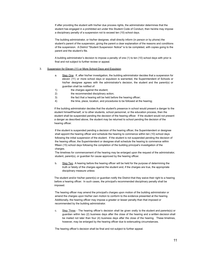If after providing the student with his/her due process rights, the administrator determines that the student has engaged in a prohibited act under this Student Code of Conduct, then he/she may impose a disciplinary penalty of a suspension not to exceed ten (10) school days.

The building administrator, or his/her designee, shall directly inform (in person or by phone) the student's parent of the suspension, giving the parent a clear explanation of the reasons and conditions of the suspension. A District "Student Suspension Notice" is to be completed, with copies going to the parent and the student's file.

A building administrator's decision to impose a penalty of one (1) to ten (10) school days with prior is final and not subject to further review or appeal.

## 3. Suspension for Eleven (11) or More School Days and Expulsion

- a. Step One If, after his/her investigation, the building administrator decides that a suspension for eleven (11) or more school days or expulsion is warranted, the Superintendent of Schools or his/her designee agrees with the administrator's decision, the student and the parent(s) or guardian shall be notified of:
- 1) the charges against the student;
- 2) the recommended disciplinary action;
- 3) the fact that a hearing will be held before the hearing officer;
- 4) the time, place, location, and procedures to be followed at the hearing;

If the building administrator decides that the student's presence in school would present a danger to the student himself/herself, or to other students, school personnel, or the education process, then the student shall be suspended pending the decision of the hearing officer. If the student would not present a danger as described above, the student may be returned to school pending the decision of the hearing officer.

If the student is suspended pending a decision of the hearing officer, the Superintendent or designee shall appoint the hearing officer and schedule the hearing to commence within ten (10) school days following the initial suspension of the student. If the student is not suspended pending the decision of the hearing officer, the Superintendent or designee shall schedule the hearing to commence within fifteen (15) school days following the completion of the building principal's investigation of the charges.

The timelines for commencement of the hearing may be enlarged upon the request of the administrator, student, parent(s), or guardian for cause approved by the hearing officer.

b. Step Two A hearing before the hearing officer will be held for the purpose of determining the truth or falsity of the charges against the student and, if the charges are true, the appropriate disciplinary measure unless:

The student and/or his/her parent(s) or guardian notify the District that they waive their right to a hearing before a hearing officer. In such cases, the principal's recommended disciplinary penalty shall be imposed.

The hearing officer may amend the principal's charges upon motion of the building administrator or amend the charges upon his/her own motion to conform to the evidence presented at the hearing. Additionally, the hearing officer may impose a greater or lesser penalty than that imposed or recommended by the building administrator.

c. Step Three - The hearing officer's decision shall be given orally to the student and parents(s) or guardian within two (2) business days after the close of the hearing and a written decision shall be mailed not later than four (4) business days after the close of the hearing. These timelines, however, may be enlarged by the hearing officer due to extenuating circumstances.

The hearing officer's decision shall be final and not subject to further appeal.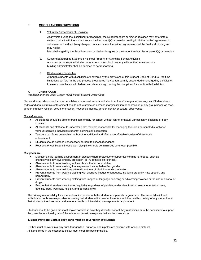# **E. MISCELLANEOUS PROVISIONS**

#### 1. Voluntary Agreements of Discipline

At any time during the disciplinary proceedings, the Superintendent or his/her designee may enter into a written contract with the student and/or his/her parent(s) or guardian setting forth the parties' agreement in settlement of the disciplinary charges. In such cases, the written agreement shall be final and binding and may not be

later challenged by the Superintendent or his/her designee or the student and/or his/her parent(s) or guardian.

#### 2. Suspended/Expelled Students on School Property or Attending School Activities

A suspended or expelled student who enters onto school property without the permission of a building administrator shall be deemed to be trespassing.

#### 3. Students with Disabilities

Although students with disabilities are covered by the provisions of this Student Code of Conduct, the time limitations set forth in the due process procedures may be temporarily suspended or enlarged by the District to assure compliance with federal and state laws governing the discipline of students with disabilities.

## **F. DRESS CODE**

*(modeled after the 2016 Oregon NOW Model Student Dress Code)*

Student dress codes should support equitable educational access and should not reinforce gender stereotypes. Student dress codes and administrative enforcement should not reinforce or increase marginalization or oppression of any group based on race, gender, ethnicity, religion, sexual orientation, household income, gender identity or cultural observance.

#### *Our values are:*

- All students should be able to dress comfortably for school without fear of or actual unnecessary discipline or body shaming.
- All students and staff should understand that they are responsible for managing their own personal "distractions" without regulating individual students' clothing/self expression.
- Teachers can focus on teaching without the additional and often uncomfortable burden of dress code enforcement.
- Students should not face unnecessary barriers to school attendance.
- Reasons for conflict and inconsistent discipline should be minimized whenever possible.

#### *Our goals are:*

- Maintain a safe learning environment in classes where protective or supportive clothing is needed, such as chemistry/biology (eye or body protection) or PE (athletic attire/shoes).
- Allow students to wear clothing of their choice that is comfortable.
- Allow students to wear clothing that expresses their self-identified gender.
- Allow students to wear religious attire without fear of discipline or discrimination.
- Prevent students from wearing clothing with offensive images or language, including profanity, hate speech, and pornography.
- Prevent students from wearing clothing with images or language depicting or advocating violence or the use of alcohol or drugs.
- Ensure that all students are treated equitably regardless of gender/gender identification, sexual orientation, race, ethnicity, body type/size, religion, and personal style.

The primary responsibility for a student's attire resides with the student and parents or guardians. The school district and individual schools are responsible for seeing that student attire does not interfere with the health or safety of any student, and that student attire does not contribute to a hostile or intimidating atmosphere for any student.

Students should be given the most choice possible in how they dress for school. Any restrictions must be necessary to support the overall educational goals of the school and must be explained within the dress code.

#### **1. Basic Principle: Certain body parts must be covered for** *all* **students**

Clothes must be worn in a way such that genitals, buttocks, and nipples are covered with opaque material. All items listed in the categories below must meet this basic principle.